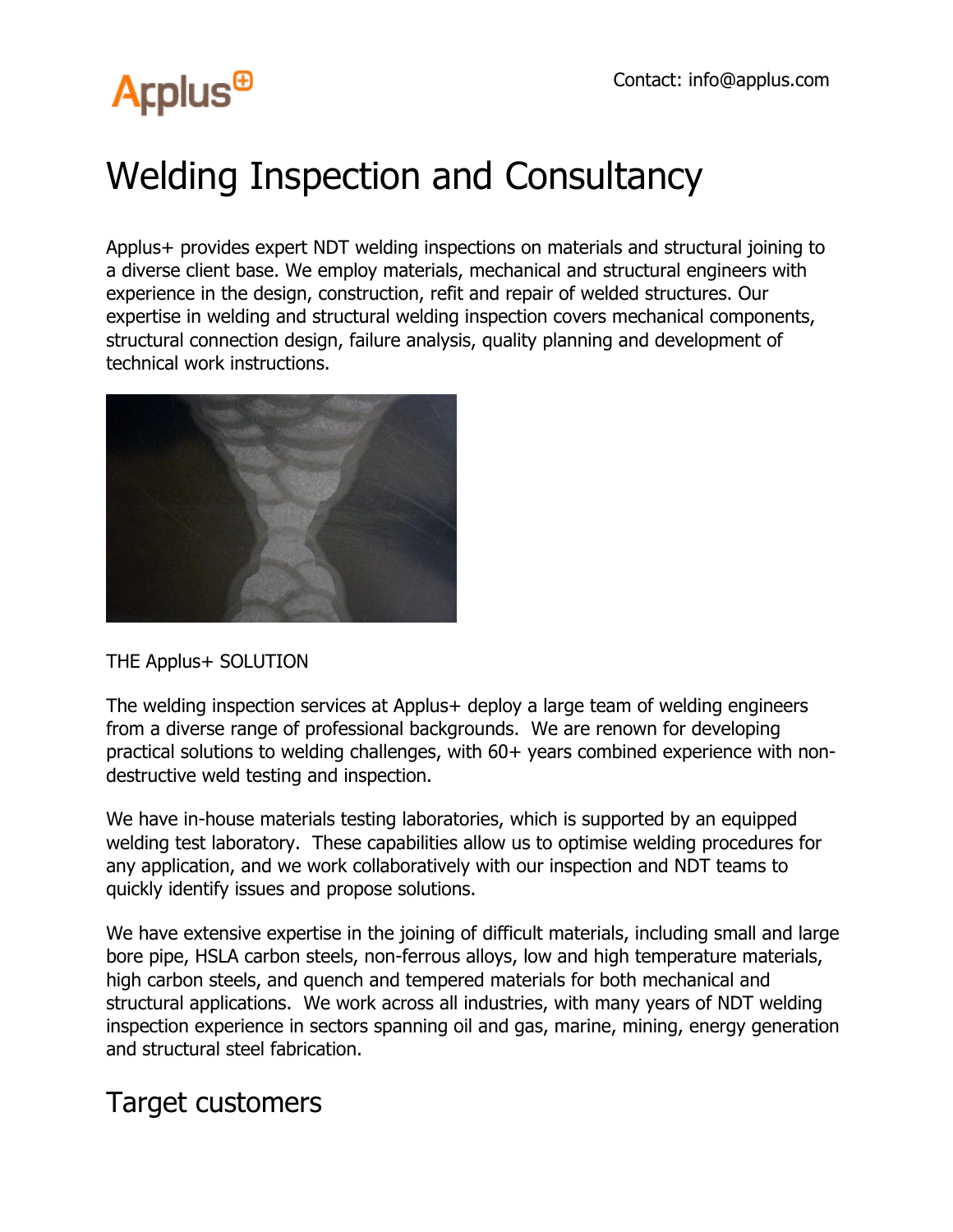# **Arplus<sup>®</sup>**

## Welding Inspection and Consultancy

Applus+ provides expert NDT welding inspections on materials and structural joining to a diverse client base. We employ materials, mechanical and structural engineers with experience in the design, construction, refit and repair of welded structures. Our expertise in welding and structural welding inspection covers mechanical components, structural connection design, failure analysis, quality planning and development of technical work instructions.



#### THE Applus+ SOLUTION

The welding inspection services at Applus+ deploy a large team of welding engineers from a diverse range of professional backgrounds. We are renown for developing practical solutions to welding challenges, with 60+ years combined experience with nondestructive weld testing and inspection.

We have in-house materials testing laboratories, which is supported by an equipped welding test laboratory. These capabilities allow us to optimise welding procedures for any application, and we work collaboratively with our inspection and NDT teams to quickly identify issues and propose solutions.

We have extensive expertise in the joining of difficult materials, including small and large bore pipe, HSLA carbon steels, non-ferrous alloys, low and high temperature materials, high carbon steels, and quench and tempered materials for both mechanical and structural applications. We work across all industries, with many years of NDT welding inspection experience in sectors spanning oil and gas, marine, mining, energy generation and structural steel fabrication.

### Target customers